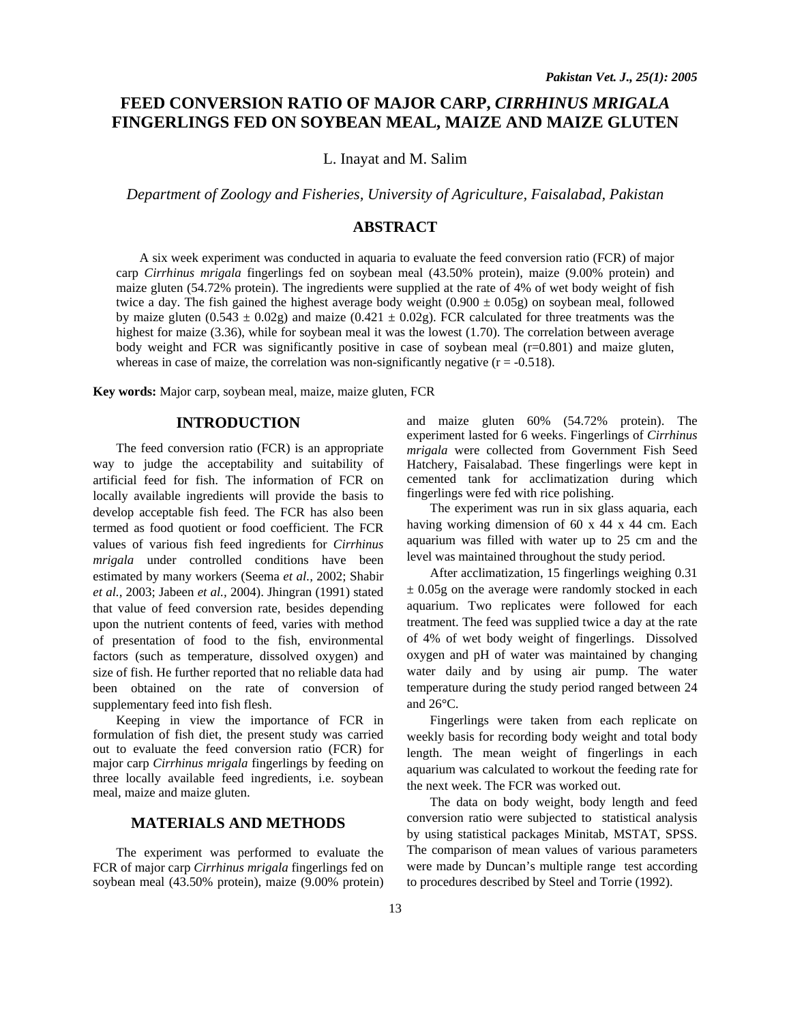# **FEED CONVERSION RATIO OF MAJOR CARP,** *CIRRHINUS MRIGALA*  **FINGERLINGS FED ON SOYBEAN MEAL, MAIZE AND MAIZE GLUTEN**

L. Inayat and M. Salim

*Department of Zoology and Fisheries, University of Agriculture, Faisalabad, Pakistan* 

## **ABSTRACT**

A six week experiment was conducted in aquaria to evaluate the feed conversion ratio (FCR) of major carp *Cirrhinus mrigala* fingerlings fed on soybean meal (43.50% protein), maize (9.00% protein) and maize gluten (54.72% protein). The ingredients were supplied at the rate of 4% of wet body weight of fish twice a day. The fish gained the highest average body weight  $(0.900 \pm 0.05g)$  on soybean meal, followed by maize gluten  $(0.543 \pm 0.02g)$  and maize  $(0.421 \pm 0.02g)$ . FCR calculated for three treatments was the highest for maize (3.36), while for soybean meal it was the lowest (1.70). The correlation between average body weight and FCR was significantly positive in case of soybean meal (r=0.801) and maize gluten, whereas in case of maize, the correlation was non-significantly negative  $(r = -0.518)$ .

**Key words:** Major carp, soybean meal, maize, maize gluten, FCR

#### **INTRODUCTION**

The feed conversion ratio (FCR) is an appropriate way to judge the acceptability and suitability of artificial feed for fish. The information of FCR on locally available ingredients will provide the basis to develop acceptable fish feed. The FCR has also been termed as food quotient or food coefficient. The FCR values of various fish feed ingredients for *Cirrhinus mrigala* under controlled conditions have been estimated by many workers (Seema *et al.,* 2002; Shabir *et al.,* 2003; Jabeen *et al.,* 2004). Jhingran (1991) stated that value of feed conversion rate, besides depending upon the nutrient contents of feed, varies with method of presentation of food to the fish, environmental factors (such as temperature, dissolved oxygen) and size of fish. He further reported that no reliable data had been obtained on the rate of conversion of supplementary feed into fish flesh.

Keeping in view the importance of FCR in formulation of fish diet, the present study was carried out to evaluate the feed conversion ratio (FCR) for major carp *Cirrhinus mrigala* fingerlings by feeding on three locally available feed ingredients, i.e. soybean meal, maize and maize gluten.

### **MATERIALS AND METHODS**

The experiment was performed to evaluate the FCR of major carp *Cirrhinus mrigala* fingerlings fed on soybean meal (43.50% protein), maize (9.00% protein) and maize gluten 60% (54.72% protein). The experiment lasted for 6 weeks. Fingerlings of *Cirrhinus mrigala* were collected from Government Fish Seed Hatchery, Faisalabad. These fingerlings were kept in cemented tank for acclimatization during which fingerlings were fed with rice polishing.

The experiment was run in six glass aquaria, each having working dimension of 60 x 44 x 44 cm. Each aquarium was filled with water up to 25 cm and the level was maintained throughout the study period.

After acclimatization, 15 fingerlings weighing 0.31  $\pm$  0.05g on the average were randomly stocked in each aquarium. Two replicates were followed for each treatment. The feed was supplied twice a day at the rate of 4% of wet body weight of fingerlings. Dissolved oxygen and pH of water was maintained by changing water daily and by using air pump. The water temperature during the study period ranged between 24 and 26°C.

Fingerlings were taken from each replicate on weekly basis for recording body weight and total body length. The mean weight of fingerlings in each aquarium was calculated to workout the feeding rate for the next week. The FCR was worked out.

The data on body weight, body length and feed conversion ratio were subjected to statistical analysis by using statistical packages Minitab, MSTAT, SPSS. The comparison of mean values of various parameters were made by Duncan's multiple range test according to procedures described by Steel and Torrie (1992).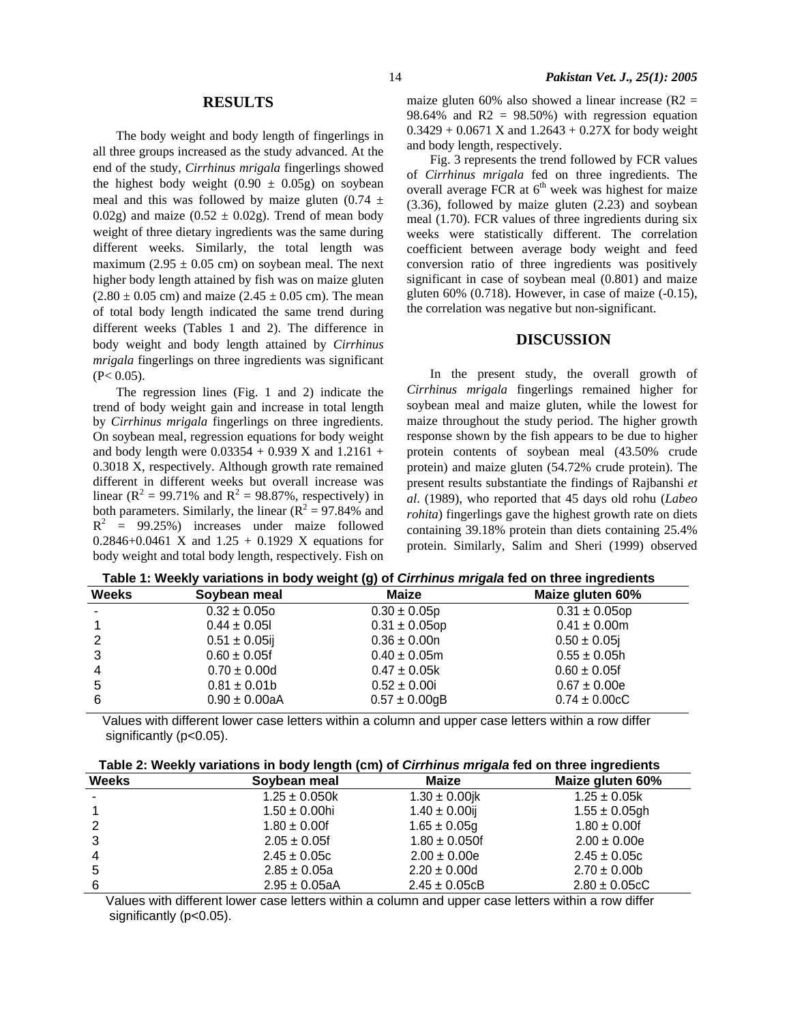The body weight and body length of fingerlings in all three groups increased as the study advanced. At the end of the study, *Cirrhinus mrigala* fingerlings showed the highest body weight  $(0.90 \pm 0.05$ g) on soybean meal and this was followed by maize gluten  $(0.74 \pm 1)$ 0.02g) and maize  $(0.52 \pm 0.02$ g). Trend of mean body weight of three dietary ingredients was the same during different weeks. Similarly, the total length was maximum (2.95  $\pm$  0.05 cm) on soybean meal. The next higher body length attained by fish was on maize gluten  $(2.80 \pm 0.05 \text{ cm})$  and maize  $(2.45 \pm 0.05 \text{ cm})$ . The mean of total body length indicated the same trend during different weeks (Tables 1 and 2). The difference in body weight and body length attained by *Cirrhinus mrigala* fingerlings on three ingredients was significant  $(P< 0.05)$ .

The regression lines (Fig. 1 and 2) indicate the trend of body weight gain and increase in total length by *Cirrhinus mrigala* fingerlings on three ingredients. On soybean meal, regression equations for body weight and body length were  $0.03354 + 0.939$  X and  $1.2161 +$ 0.3018 X, respectively. Although growth rate remained different in different weeks but overall increase was linear ( $\mathbb{R}^2 = 99.71\%$  and  $\mathbb{R}^2 = 98.87\%$ , respectively) in both parameters. Similarly, the linear  $(R^2 = 97.84\%$  and  $R^2$  = 99.25%) increases under maize followed  $0.2846 + 0.0461$  X and  $1.25 + 0.1929$  X equations for body weight and total body length, respectively. Fish on

maize gluten 60% also showed a linear increase  $(R2 =$ 98.64% and  $R2 = 98.50\%$ ) with regression equation  $0.3429 + 0.0671$  X and  $1.2643 + 0.27X$  for body weight and body length, respectively.

Fig. 3 represents the trend followed by FCR values of *Cirrhinus mrigala* fed on three ingredients. The overall average FCR at  $6<sup>th</sup>$  week was highest for maize (3.36), followed by maize gluten (2.23) and soybean meal (1.70). FCR values of three ingredients during six weeks were statistically different. The correlation coefficient between average body weight and feed conversion ratio of three ingredients was positively significant in case of soybean meal (0.801) and maize gluten  $60\%$  (0.718). However, in case of maize  $(-0.15)$ , the correlation was negative but non-significant.

#### **DISCUSSION**

In the present study, the overall growth of *Cirrhinus mrigala* fingerlings remained higher for soybean meal and maize gluten, while the lowest for maize throughout the study period. The higher growth response shown by the fish appears to be due to higher protein contents of soybean meal (43.50% crude protein) and maize gluten (54.72% crude protein). The present results substantiate the findings of Rajbanshi *et al*. (1989), who reported that 45 days old rohu (*Labeo rohita*) fingerlings gave the highest growth rate on diets containing 39.18% protein than diets containing 25.4% protein. Similarly, Salim and Sheri (1999) observed

 **Table 1: Weekly variations in body weight (g) of** *Cirrhinus mrigala* **fed on three ingredients** 

| <b>Weeks</b>             | Soybean meal       | <b>Maize</b>       | Maize gluten 60%   |
|--------------------------|--------------------|--------------------|--------------------|
| $\overline{\phantom{a}}$ | $0.32 \pm 0.050$   | $0.30 \pm 0.05p$   | $0.31 \pm 0.05$ op |
|                          | $0.44 \pm 0.05$    | $0.31 \pm 0.05$ op | $0.41 \pm 0.00$ m  |
| 2                        | $0.51 \pm 0.05$ ij | $0.36 \pm 0.00$ n  | $0.50 \pm 0.05$    |
| 3                        | $0.60 \pm 0.05f$   | $0.40 \pm 0.05$ m  | $0.55 \pm 0.05$ h  |
| 4                        | $0.70 \pm 0.00$ d  | $0.47 \pm 0.05k$   | $0.60 \pm 0.05$ f  |
| 5                        | $0.81 \pm 0.01$    | $0.52 \pm 0.00$ i  | $0.67 \pm 0.00e$   |
| 6                        | $0.90 \pm 0.00$ aA | $0.57 \pm 0.00$ gB | $0.74 \pm 0.00$ cC |

 Values with different lower case letters within a column and upper case letters within a row differ significantly (p<0.05).

|  | Table 2: Weekly variations in body length (cm) of <i>Cirrhinus mrigala</i> fed on three ingredients |  |  |  |  |
|--|-----------------------------------------------------------------------------------------------------|--|--|--|--|
|--|-----------------------------------------------------------------------------------------------------|--|--|--|--|

| <b>Weeks</b> | Soybean meal       | Maize              | Maize gluten 60%   |
|--------------|--------------------|--------------------|--------------------|
|              | $1.25 \pm 0.050k$  | $1.30 \pm 0.00$ jk | $1.25 \pm 0.05k$   |
|              | $1.50 \pm 0.00$ hi | $1.40 \pm 0.00$ ij | $1.55 \pm 0.05$ gh |
| 2            | $1.80 \pm 0.00$ f  | $1.65 \pm 0.05g$   | $1.80 \pm 0.001$   |
| 3            | $2.05 \pm 0.05$ f  | $1.80 \pm 0.050$ f | $2.00 \pm 0.00e$   |
| 4            | $2.45 \pm 0.05c$   | $2.00 \pm 0.00e$   | $2.45 \pm 0.05c$   |
| 5            | $2.85 \pm 0.05a$   | $2.20 \pm 0.00$ d  | $2.70 \pm 0.00$    |
| 6            | $2.95 \pm 0.05$ aA | $2.45 \pm 0.05cB$  | $2.80 \pm 0.05cC$  |

 Values with different lower case letters within a column and upper case letters within a row differ significantly (p<0.05).